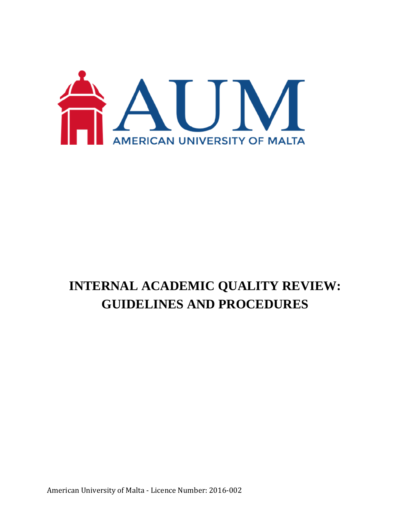

# **INTERNAL ACADEMIC QUALITY REVIEW: GUIDELINES AND PROCEDURES**

American University of Malta - Licence Number: 2016-002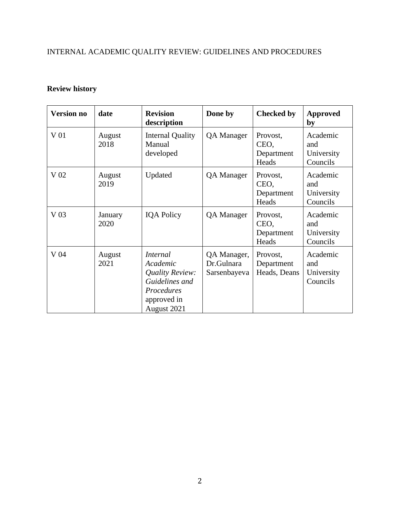## INTERNAL ACADEMIC QUALITY REVIEW: GUIDELINES AND PROCEDURES

## **Review history**

| <b>Version no</b> | date            | <b>Revision</b><br>description                                                                               | Done by                                   | <b>Checked by</b>                       | <b>Approved</b><br>by                     |
|-------------------|-----------------|--------------------------------------------------------------------------------------------------------------|-------------------------------------------|-----------------------------------------|-------------------------------------------|
| V 01              | August<br>2018  | <b>Internal Quality</b><br>Manual<br>developed                                                               | <b>QA</b> Manager                         | Provost,<br>CEO,<br>Department<br>Heads | Academic<br>and<br>University<br>Councils |
| V 02              | August<br>2019  | Updated                                                                                                      | QA Manager                                | Provost,<br>CEO,<br>Department<br>Heads | Academic<br>and<br>University<br>Councils |
| V <sub>03</sub>   | January<br>2020 | <b>IQA Policy</b>                                                                                            | <b>QA</b> Manager                         | Provost,<br>CEO,<br>Department<br>Heads | Academic<br>and<br>University<br>Councils |
| V 04              | August<br>2021  | <i>Internal</i><br>Academic<br>Quality Review:<br>Guidelines and<br>Procedures<br>approved in<br>August 2021 | QA Manager,<br>Dr.Gulnara<br>Sarsenbayeva | Provost,<br>Department<br>Heads, Deans  | Academic<br>and<br>University<br>Councils |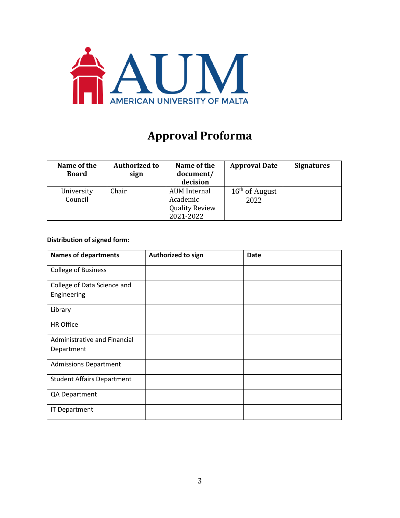

## **Approval Proforma**

| Name of the<br><b>Board</b> | <b>Authorized to</b><br>sign | Name of the<br>document/<br>decision                           | <b>Approval Date</b>     | <b>Signatures</b> |
|-----------------------------|------------------------------|----------------------------------------------------------------|--------------------------|-------------------|
| University<br>Council       | Chair                        | AUM Internal<br>Academic<br><b>Quality Review</b><br>2021-2022 | $16th$ of August<br>2022 |                   |

#### **Distribution of signed form**:

| <b>Names of departments</b>       | Authorized to sign | <b>Date</b> |
|-----------------------------------|--------------------|-------------|
| <b>College of Business</b>        |                    |             |
| College of Data Science and       |                    |             |
| Engineering                       |                    |             |
| Library                           |                    |             |
| <b>HR Office</b>                  |                    |             |
| Administrative and Financial      |                    |             |
| Department                        |                    |             |
| <b>Admissions Department</b>      |                    |             |
| <b>Student Affairs Department</b> |                    |             |
| QA Department                     |                    |             |
| <b>IT Department</b>              |                    |             |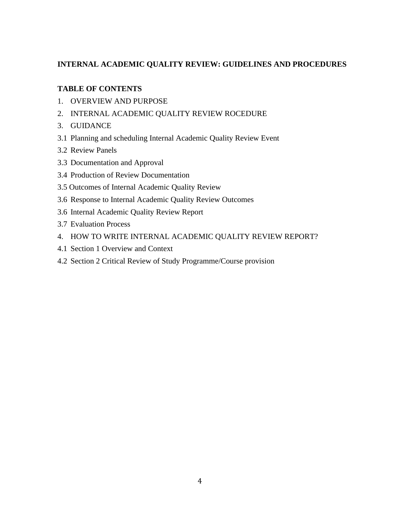#### **INTERNAL ACADEMIC QUALITY REVIEW: GUIDELINES AND PROCEDURES**

#### **TABLE OF CONTENTS**

- 1. OVERVIEW AND PURPOSE
- 2. INTERNAL ACADEMIC QUALITY REVIEW ROCEDURE
- 3. GUIDANCE
- 3.1 Planning and scheduling Internal Academic Quality Review Event
- 3.2 Review Panels
- 3.3 Documentation and Approval
- 3.4 Production of Review Documentation
- 3.5 Outcomes of Internal Academic Quality Review
- 3.6 Response to Internal Academic Quality Review Outcomes
- 3.6 Internal Academic Quality Review Report
- 3.7 Evaluation Process
- 4. HOW TO WRITE INTERNAL ACADEMIC QUALITY REVIEW REPORT?
- 4.1 Section 1 Overview and Context
- 4.2 Section 2 Critical Review of Study Programme/Course provision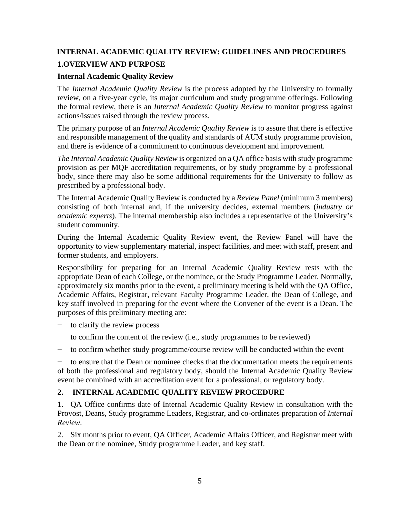## **INTERNAL ACADEMIC QUALITY REVIEW: GUIDELINES AND PROCEDURES 1.OVERVIEW AND PURPOSE**

#### **Internal Academic Quality Review**

The *Internal Academic Quality Review* is the process adopted by the University to formally review, on a five-year cycle, its major curriculum and study programme offerings. Following the formal review, there is an *Internal Academic Quality Review* to monitor progress against actions/issues raised through the review process.

The primary purpose of an *Internal Academic Quality Review* is to assure that there is effective and responsible management of the quality and standards of AUM study programme provision, and there is evidence of a commitment to continuous development and improvement.

*The Internal Academic Quality Review* is organized on a QA office basis with study programme provision as per MQF accreditation requirements, or by study programme by a professional body, since there may also be some additional requirements for the University to follow as prescribed by a professional body.

The Internal Academic Quality Review is conducted by a *Review Panel* (minimum 3 members) consisting of both internal and, if the university decides, external members (*industry or academic experts*). The internal membership also includes a representative of the University's student community.

During the Internal Academic Quality Review event, the Review Panel will have the opportunity to view supplementary material, inspect facilities, and meet with staff, present and former students, and employers.

Responsibility for preparing for an Internal Academic Quality Review rests with the appropriate Dean of each College, or the nominee, or the Study Programme Leader. Normally, approximately six months prior to the event, a preliminary meeting is held with the QA Office, Academic Affairs, Registrar, relevant Faculty Programme Leader, the Dean of College, and key staff involved in preparing for the event where the Convener of the event is a Dean. The purposes of this preliminary meeting are:

- to clarify the review process
- to confirm the content of the review (i.e., study programmes to be reviewed)
- − to confirm whether study programme/course review will be conducted within the event

to ensure that the Dean or nominee checks that the documentation meets the requirements of both the professional and regulatory body, should the Internal Academic Quality Review event be combined with an accreditation event for a professional, or regulatory body.

#### **2. INTERNAL ACADEMIC QUALITY REVIEW PROCEDURE**

1. QA Office confirms date of Internal Academic Quality Review in consultation with the Provost, Deans, Study programme Leaders, Registrar, and co-ordinates preparation of *Internal Review*.

2. Six months prior to event, QA Officer, Academic Affairs Officer, and Registrar meet with the Dean or the nominee, Study programme Leader, and key staff.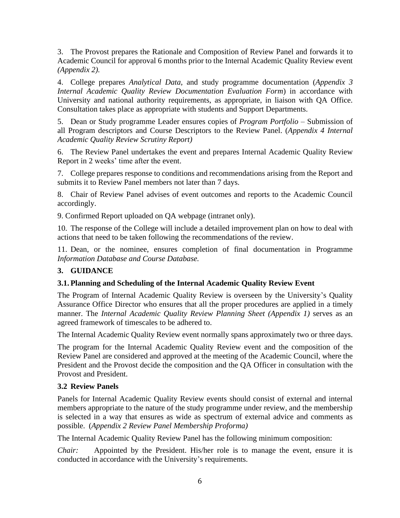3. The Provost prepares the Rationale and Composition of Review Panel and forwards it to Academic Council for approval 6 months prior to the Internal Academic Quality Review event *(Appendix 2).*

4. College prepares *Analytical Data*, and study programme documentation (*Appendix 3 Internal Academic Quality Review Documentation Evaluation Form*) in accordance with University and national authority requirements, as appropriate, in liaison with QA Office. Consultation takes place as appropriate with students and Support Departments.

5. Dean or Study programme Leader ensures copies of *Program Portfolio* – Submission of all Program descriptors and Course Descriptors to the Review Panel. (*Appendix 4 Internal Academic Quality Review Scrutiny Report)*

6. The Review Panel undertakes the event and prepares Internal Academic Quality Review Report in 2 weeks' time after the event.

7. College prepares response to conditions and recommendations arising from the Report and submits it to Review Panel members not later than 7 days.

8. Chair of Review Panel advises of event outcomes and reports to the Academic Council accordingly.

9. Confirmed Report uploaded on QA webpage (intranet only).

10. The response of the College will include a detailed improvement plan on how to deal with actions that need to be taken following the recommendations of the review.

11. Dean, or the nominee, ensures completion of final documentation in Programme *Information Database and Course Database.*

#### **3. GUIDANCE**

#### **3.1. Planning and Scheduling of the Internal Academic Quality Review Event**

The Program of Internal Academic Quality Review is overseen by the University's Quality Assurance Office Director who ensures that all the proper procedures are applied in a timely manner. The *Internal Academic Quality Review Planning Sheet (Appendix 1)* serves as an agreed framework of timescales to be adhered to.

The Internal Academic Quality Review event normally spans approximately two or three days.

The program for the Internal Academic Quality Review event and the composition of the Review Panel are considered and approved at the meeting of the Academic Council, where the President and the Provost decide the composition and the QA Officer in consultation with the Provost and President.

#### **3.2 Review Panels**

Panels for Internal Academic Quality Review events should consist of external and internal members appropriate to the nature of the study programme under review, and the membership is selected in a way that ensures as wide as spectrum of external advice and comments as possible. (*Appendix 2 Review Panel Membership Proforma)*

The Internal Academic Quality Review Panel has the following minimum composition:

*Chair:* Appointed by the President. His/her role is to manage the event, ensure it is conducted in accordance with the University's requirements.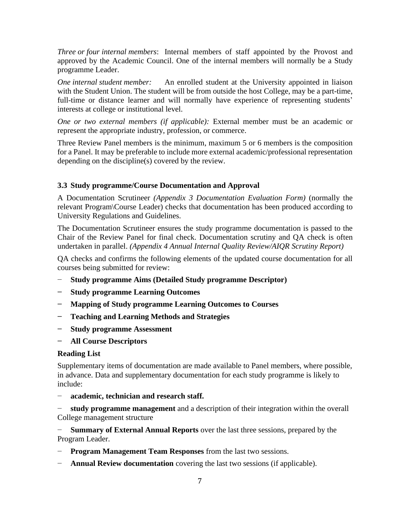*Three or four internal members*: Internal members of staff appointed by the Provost and approved by the Academic Council. One of the internal members will normally be a Study programme Leader.

*One internal student member:* An enrolled student at the University appointed in liaison with the Student Union. The student will be from outside the host College, may be a part-time, full-time or distance learner and will normally have experience of representing students' interests at college or institutional level.

*One or two external members (if applicable):* External member must be an academic or represent the appropriate industry, profession, or commerce.

Three Review Panel members is the minimum, maximum 5 or 6 members is the composition for a Panel. It may be preferable to include more external academic/professional representation depending on the discipline(s) covered by the review.

#### **3.3 Study programme/Course Documentation and Approval**

A Documentation Scrutineer *(Appendix 3 Documentation Evaluation Form)* (normally the relevant Program\Course Leader) checks that documentation has been produced according to University Regulations and Guidelines.

The Documentation Scrutineer ensures the study programme documentation is passed to the Chair of the Review Panel for final check. Documentation scrutiny and QA check is often undertaken in parallel. *(Appendix 4 Annual Internal Quality Review/AIQR Scrutiny Report)*

QA checks and confirms the following elements of the updated course documentation for all courses being submitted for review:

- − **Study programme Aims (Detailed Study programme Descriptor)**
- **− Study programme Learning Outcomes**
- **− Mapping of Study programme Learning Outcomes to Courses**
- **− Teaching and Learning Methods and Strategies**
- **− Study programme Assessment**
- **− All Course Descriptors**

#### **Reading List**

Supplementary items of documentation are made available to Panel members, where possible, in advance. Data and supplementary documentation for each study programme is likely to include:

− **academic, technician and research staff.**

**study programme management** and a description of their integration within the overall College management structure

− **Summary of External Annual Reports** over the last three sessions, prepared by the Program Leader.

- **Program Management Team Responses** from the last two sessions.
- **Annual Review documentation** covering the last two sessions (if applicable).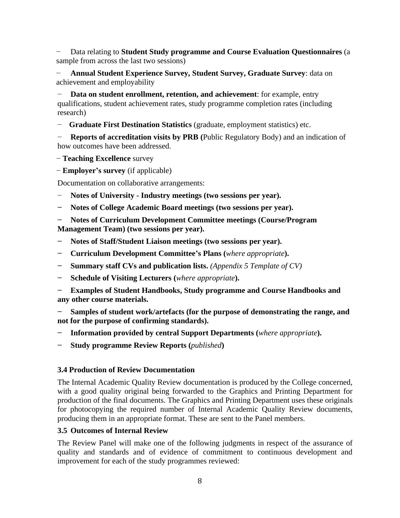− Data relating to **Student Study programme and Course Evaluation Questionnaires** (a sample from across the last two sessions)

− **Annual Student Experience Survey, Student Survey, Graduate Survey**: data on achievement and employability

**Data on student enrollment, retention, and achievement**: for example, entry qualifications, student achievement rates, study programme completion rates (including research)

− **Graduate First Destination Statistics** (graduate, employment statistics) etc.

**Reports of accreditation visits by PRB** (Public Regulatory Body) and an indication of how outcomes have been addressed.

- − **Teaching Excellence** survey
- − **Employer's survey** (if applicable)

Documentation on collaborative arrangements:

- − **Notes of University - Industry meetings (two sessions per year).**
- **− Notes of College Academic Board meetings (two sessions per year).**
- **− Notes of Curriculum Development Committee meetings (Course/Program Management Team) (two sessions per year).**
- **− Notes of Staff/Student Liaison meetings (two sessions per year).**
- **− Curriculum Development Committee's Plans (***where appropriate***).**
- **− Summary staff CVs and publication lists.** *(Appendix 5 Template of CV)*
- **− Schedule of Visiting Lecturers (***where appropriate***).**
- **− Examples of Student Handbooks, Study programme and Course Handbooks and any other course materials.**

**− Samples of student work/artefacts (for the purpose of demonstrating the range, and not for the purpose of confirming standards).**

- **− Information provided by central Support Departments (***where appropriate***).**
- **− Study programme Review Reports (***published***)**

#### **3.4 Production of Review Documentation**

The Internal Academic Quality Review documentation is produced by the College concerned, with a good quality original being forwarded to the Graphics and Printing Department for production of the final documents. The Graphics and Printing Department uses these originals for photocopying the required number of Internal Academic Quality Review documents, producing them in an appropriate format. These are sent to the Panel members.

#### **3.5 Outcomes of Internal Review**

The Review Panel will make one of the following judgments in respect of the assurance of quality and standards and of evidence of commitment to continuous development and improvement for each of the study programmes reviewed: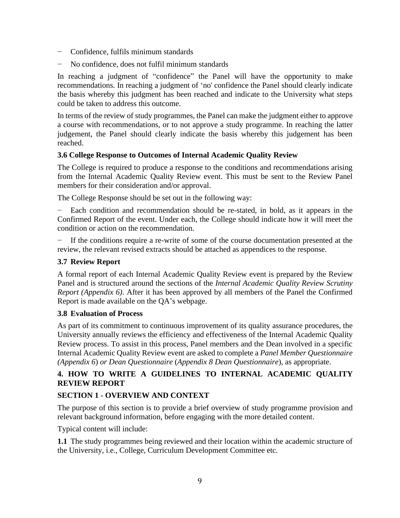- − Confidence, fulfils minimum standards
- No confidence, does not fulfil minimum standards

In reaching a judgment of "confidence" the Panel will have the opportunity to make recommendations. In reaching a judgment of 'no' confidence the Panel should clearly indicate the basis whereby this judgment has been reached and indicate to the University what steps could be taken to address this outcome.

In terms of the review of study programmes, the Panel can make the judgment either to approve a course with recommendations, or to not approve a study programme. In reaching the latter judgement, the Panel should clearly indicate the basis whereby this judgement has been reached.

#### **3.6 College Response to Outcomes of Internal Academic Quality Review**

The College is required to produce a response to the conditions and recommendations arising from the Internal Academic Quality Review event. This must be sent to the Review Panel members for their consideration and/or approval.

The College Response should be set out in the following way:

Each condition and recommendation should be re-stated, in bold, as it appears in the Confirmed Report of the event. Under each, the College should indicate how it will meet the condition or action on the recommendation.

− If the conditions require a re-write of some of the course documentation presented at the review, the relevant revised extracts should be attached as appendices to the response.

#### **3.7 Review Report**

A formal report of each Internal Academic Quality Review event is prepared by the Review Panel and is structured around the sections of the *Internal Academic Quality Review Scrutiny Report (Appendix 6)*. After it has been approved by all members of the Panel the Confirmed Report is made available on the QA's webpage.

#### **3.8 Evaluation of Process**

As part of its commitment to continuous improvement of its quality assurance procedures, the University annually reviews the efficiency and effectiveness of the Internal Academic Quality Review process. To assist in this process, Panel members and the Dean involved in a specific Internal Academic Quality Review event are asked to complete a *Panel Member Questionnaire (Appendix 6*) *or Dean Questionnaire* (*Appendix 8 Dean Questionnaire*), as appropriate.

#### **4. HOW TO WRITE A GUIDELINES TO INTERNAL ACADEMIC QUALITY REVIEW REPORT**

#### **SECTION 1 - OVERVIEW AND CONTEXT**

The purpose of this section is to provide a brief overview of study programme provision and relevant background information, before engaging with the more detailed content.

Typical content will include:

**1.1** The study programmes being reviewed and their location within the academic structure of the University, i.e., College, Curriculum Development Committee etc.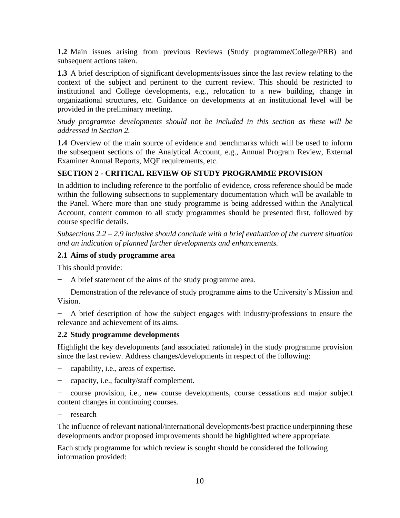**1.2** Main issues arising from previous Reviews (Study programme/College/PRB) and subsequent actions taken.

**1.3** A brief description of significant developments/issues since the last review relating to the context of the subject and pertinent to the current review. This should be restricted to institutional and College developments, e.g., relocation to a new building, change in organizational structures, etc. Guidance on developments at an institutional level will be provided in the preliminary meeting.

*Study programme developments should not be included in this section as these will be addressed in Section 2.*

**1.4** Overview of the main source of evidence and benchmarks which will be used to inform the subsequent sections of the Analytical Account, e.g., Annual Program Review, External Examiner Annual Reports, MQF requirements, etc.

#### **SECTION 2 - CRITICAL REVIEW OF STUDY PROGRAMME PROVISION**

In addition to including reference to the portfolio of evidence, cross reference should be made within the following subsections to supplementary documentation which will be available to the Panel. Where more than one study programme is being addressed within the Analytical Account, content common to all study programmes should be presented first, followed by course specific details.

*Subsections 2.2 – 2.9 inclusive should conclude with a brief evaluation of the current situation and an indication of planned further developments and enhancements.*

#### **2.1 Aims of study programme area**

This should provide:

A brief statement of the aims of the study programme area.

Demonstration of the relevance of study programme aims to the University's Mission and Vision.

− A brief description of how the subject engages with industry/professions to ensure the relevance and achievement of its aims.

#### **2.2 Study programme developments**

Highlight the key developments (and associated rationale) in the study programme provision since the last review. Address changes/developments in respect of the following:

- − capability, i.e., areas of expertise.
- − capacity, i.e., faculty/staff complement.

− course provision, i.e., new course developments, course cessations and major subject content changes in continuing courses.

− research

The influence of relevant national/international developments/best practice underpinning these developments and/or proposed improvements should be highlighted where appropriate.

Each study programme for which review is sought should be considered the following information provided: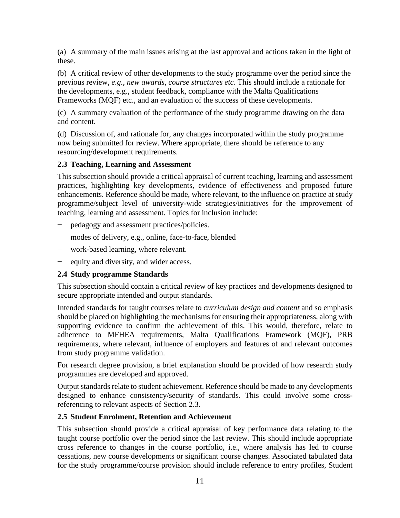(a) A summary of the main issues arising at the last approval and actions taken in the light of these.

(b) A critical review of other developments to the study programme over the period since the previous review, *e.g., new awards, course structures etc*. This should include a rationale for the developments, e.g., student feedback, compliance with the Malta Qualifications Frameworks (MQF) etc., and an evaluation of the success of these developments.

(c) A summary evaluation of the performance of the study programme drawing on the data and content.

(d) Discussion of, and rationale for, any changes incorporated within the study programme now being submitted for review. Where appropriate, there should be reference to any resourcing/development requirements.

#### **2.3 Teaching, Learning and Assessment**

This subsection should provide a critical appraisal of current teaching, learning and assessment practices, highlighting key developments, evidence of effectiveness and proposed future enhancements. Reference should be made, where relevant, to the influence on practice at study programme/subject level of university-wide strategies/initiatives for the improvement of teaching, learning and assessment. Topics for inclusion include:

- pedagogy and assessment practices/policies.
- modes of delivery, e.g., online, face-to-face, blended
- work-based learning, where relevant.
- equity and diversity, and wider access.

#### **2.4 Study programme Standards**

This subsection should contain a critical review of key practices and developments designed to secure appropriate intended and output standards.

Intended standards for taught courses relate to *curriculum design and content* and so emphasis should be placed on highlighting the mechanisms for ensuring their appropriateness, along with supporting evidence to confirm the achievement of this. This would, therefore, relate to adherence to MFHEA requirements, Malta Qualifications Framework (MQF), PRB requirements, where relevant, influence of employers and features of and relevant outcomes from study programme validation.

For research degree provision, a brief explanation should be provided of how research study programmes are developed and approved.

Output standards relate to student achievement. Reference should be made to any developments designed to enhance consistency/security of standards. This could involve some crossreferencing to relevant aspects of Section 2.3.

#### **2.5 Student Enrolment, Retention and Achievement**

This subsection should provide a critical appraisal of key performance data relating to the taught course portfolio over the period since the last review. This should include appropriate cross reference to changes in the course portfolio, i.e., where analysis has led to course cessations, new course developments or significant course changes. Associated tabulated data for the study programme/course provision should include reference to entry profiles, Student